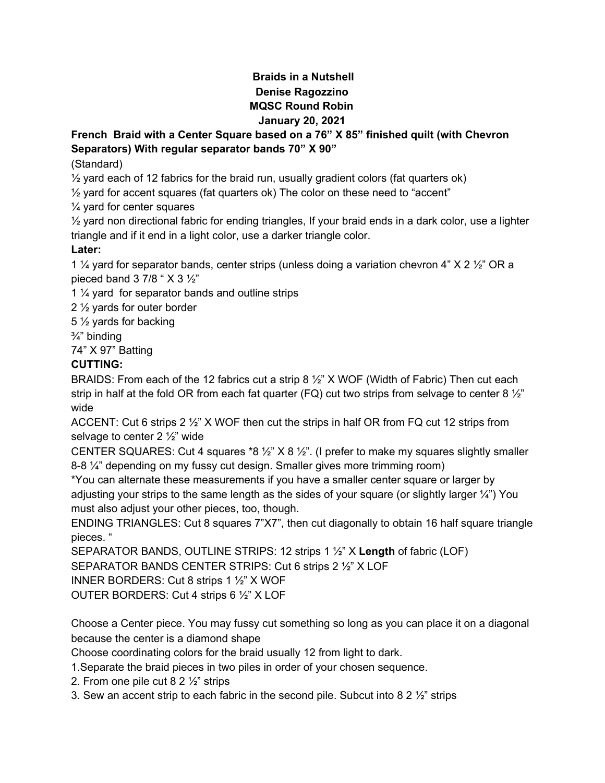## **Braids in a Nutshell Denise Ragozzino MQSC Round Robin January 20, 2021**

## **French Braid with a Center Square based on a 76" X 85" finished quilt (with Chevron Separators) With regular separator bands 70" X 90"**

(Standard)

 $\frac{1}{2}$  yard each of 12 fabrics for the braid run, usually gradient colors (fat quarters ok)

 $\frac{1}{2}$  yard for accent squares (fat quarters ok) The color on these need to "accent"

¼ yard for center squares

 $\frac{1}{2}$  yard non directional fabric for ending triangles, If your braid ends in a dark color, use a lighter triangle and if it end in a light color, use a darker triangle color.

## **Later:**

1  $\frac{1}{4}$  yard for separator bands, center strips (unless doing a variation chevron 4" X 2  $\frac{1}{2}$ " OR a pieced band 3 7/8 "  $\times$  3  $\frac{1}{2}$ "

1 ¼ yard for separator bands and outline strips

2 ½ yards for outer border

5 ½ yards for backing

¾" binding

74" X 97" Batting

## **CUTTING:**

BRAIDS: From each of the 12 fabrics cut a strip 8 ½" X WOF (Width of Fabric) Then cut each strip in half at the fold OR from each fat quarter (FQ) cut two strips from selvage to center 8  $\frac{1}{2}$ " wide

ACCENT: Cut 6 strips 2 ½" X WOF then cut the strips in half OR from FQ cut 12 strips from selvage to center 2 ½" wide

CENTER SQUARES: Cut 4 squares \*8  $\frac{1}{2}$ " X 8  $\frac{1}{2}$ ". (I prefer to make my squares slightly smaller 8-8 ¼" depending on my fussy cut design. Smaller gives more trimming room)

\*You can alternate these measurements if you have a smaller center square or larger by adjusting your strips to the same length as the sides of your square (or slightly larger  $\frac{\pi}{4}$ ) You must also adjust your other pieces, too, though.

ENDING TRIANGLES: Cut 8 squares 7"X7", then cut diagonally to obtain 16 half square triangle pieces. "

SEPARATOR BANDS, OUTLINE STRIPS: 12 strips 1 ½" X **Length** of fabric (LOF)

SEPARATOR BANDS CENTER STRIPS: Cut 6 strips 2 ½" X LOF

INNER BORDERS: Cut 8 strips 1 ½" X WOF

OUTER BORDERS: Cut 4 strips 6 ½" X LOF

Choose a Center piece. You may fussy cut something so long as you can place it on a diagonal because the center is a diamond shape

Choose coordinating colors for the braid usually 12 from light to dark.

1.Separate the braid pieces in two piles in order of your chosen sequence.

- 2. From one pile cut 8 2 ½" strips
- 3. Sew an accent strip to each fabric in the second pile. Subcut into 8 2 ½" strips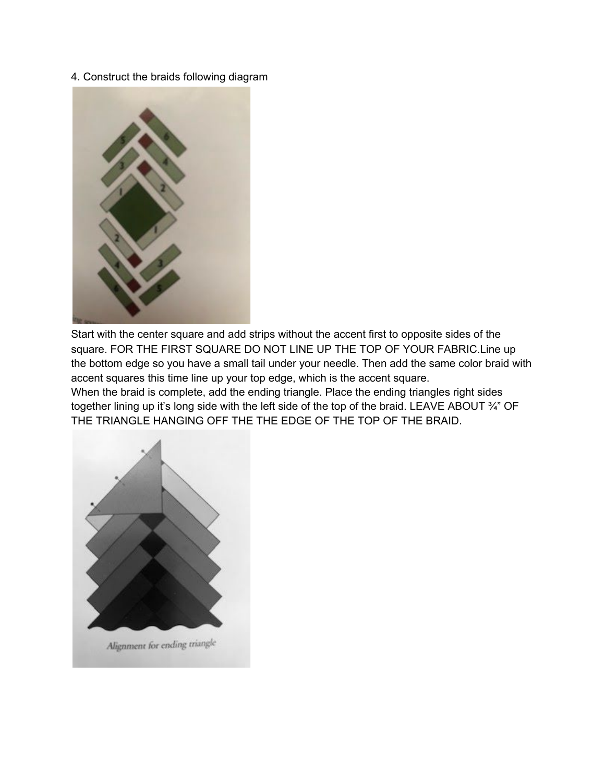4. Construct the braids following diagram



Start with the center square and add strips without the accent first to opposite sides of the square. FOR THE FIRST SQUARE DO NOT LINE UP THE TOP OF YOUR FABRIC.Line up the bottom edge so you have a small tail under your needle. Then add the same color braid with accent squares this time line up your top edge, which is the accent square. When the braid is complete, add the ending triangle. Place the ending triangles right sides together lining up it's long side with the left side of the top of the braid. LEAVE ABOUT 3/4" OF THE TRIANGLE HANGING OFF THE THE EDGE OF THE TOP OF THE BRAID.

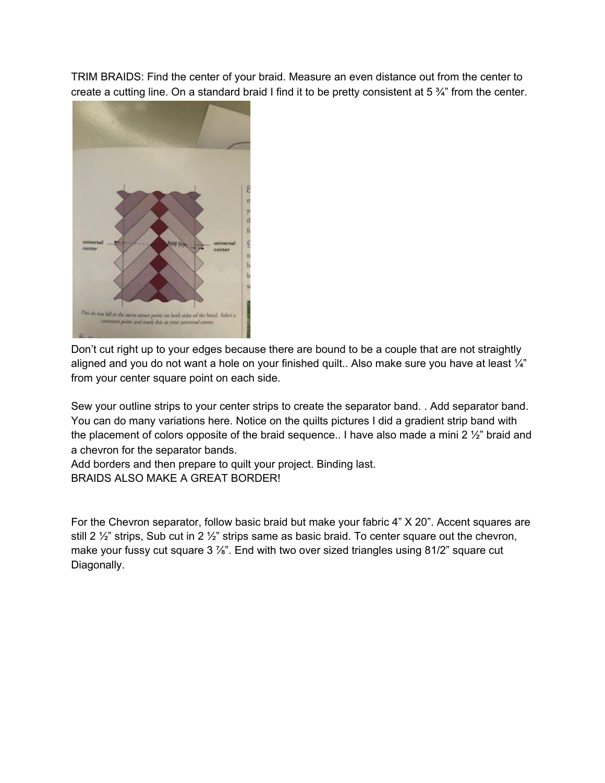TRIM BRAIDS: Find the center of your braid. Measure an even distance out from the center to create a cutting line. On a standard braid I find it to be pretty consistent at 5 ¾" from the center.



Don't cut right up to your edges because there are bound to be a couple that are not straightly aligned and you do not want a hole on your finished quilt.. Also make sure you have at least 1/4" from your center square point on each side.

Sew your outline strips to your center strips to create the separator band. . Add separator band. You can do many variations here. Notice on the quilts pictures I did a gradient strip band with the placement of colors opposite of the braid sequence.. I have also made a mini 2 ½" braid and a chevron for the separator bands.

Add borders and then prepare to quilt your project. Binding last. BRAIDS ALSO MAKE A GREAT BORDER!

For the Chevron separator, follow basic braid but make your fabric 4" X 20". Accent squares are still 2  $\frac{1}{2}$ " strips, Sub cut in 2  $\frac{1}{2}$ " strips same as basic braid. To center square out the chevron, make your fussy cut square 3 %". End with two over sized triangles using 81/2" square cut Diagonally.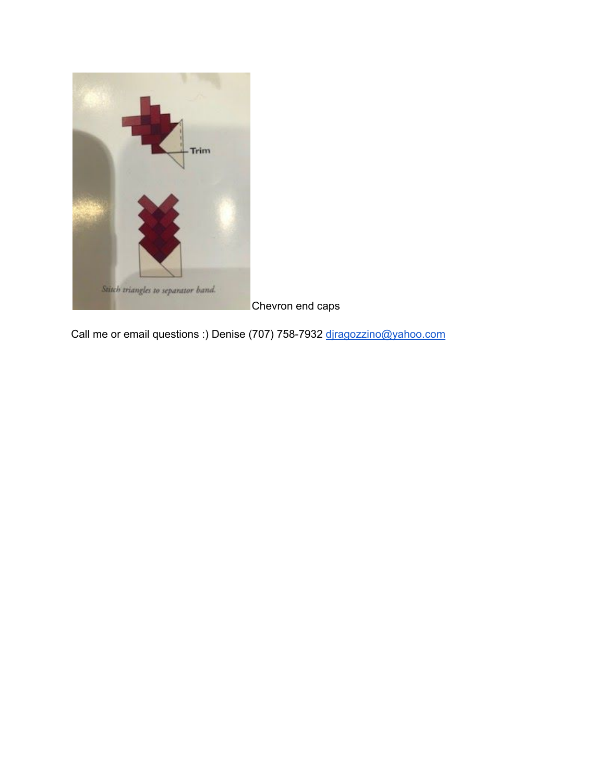

Chevron end caps

Call me or email questions :) Denise (707) 758-7932 [djragozzino@yahoo.com](mailto:djragozzino@yahoo.com)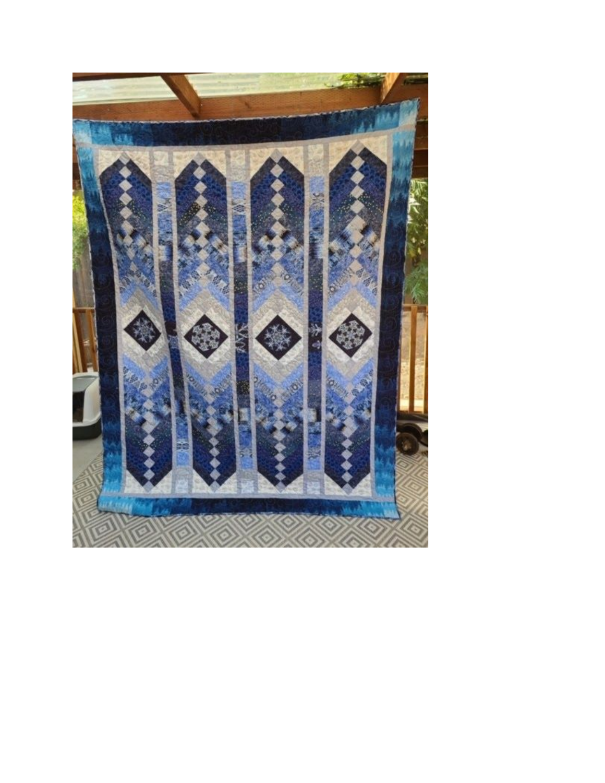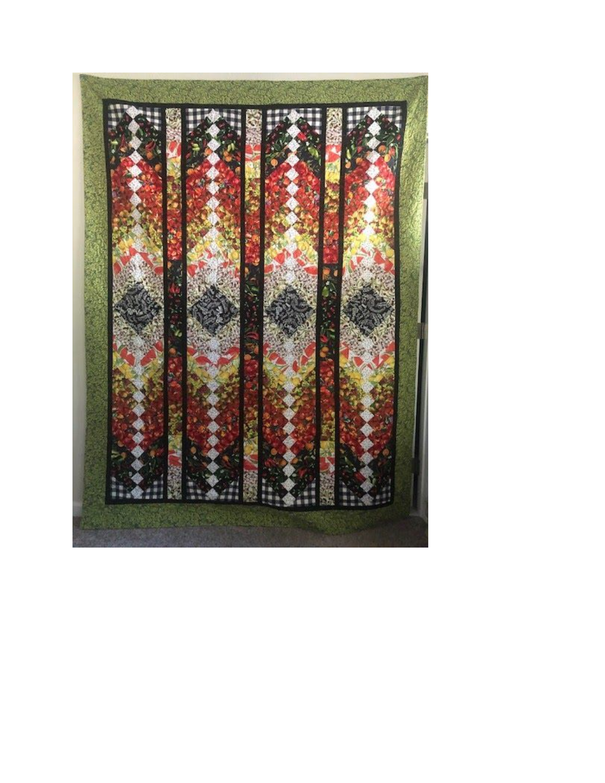